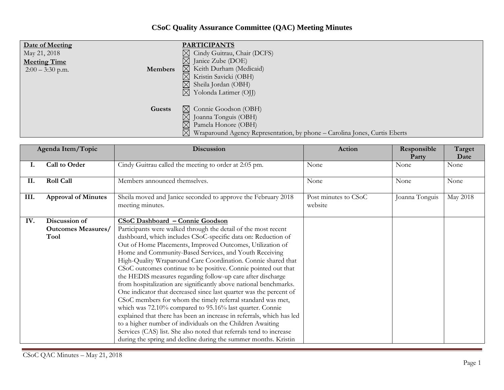## **CSoC Quality Assurance Committee (QAC) Meeting Minutes**

| Date of Meeting<br>May 21, 2018<br><b>Meeting Time</b><br>Members<br>$2:00 - 3:30$ p.m. | <b>PARTICIPANTS</b><br>Cindy Guitrau, Chair (DCFS)<br>⊠<br>$\boxtimes$ Janice Zube (DOE)<br>$\boxtimes$ Keith Durham (Medicaid)<br>Kristin Savicki (OBH)<br>$\boxtimes$<br>Sheila Jordan (OBH)<br>$\boxtimes$<br>Yolonda Latimer (OJJ)<br>$\bowtie$ |
|-----------------------------------------------------------------------------------------|-----------------------------------------------------------------------------------------------------------------------------------------------------------------------------------------------------------------------------------------------------|
| Guests                                                                                  | $\boxtimes$ Connie Goodson (OBH)<br>$\boxtimes$ Joanna Tonguis (OBH)<br>Pamela Honore (OBH)<br>$\boxtimes$<br>$\boxtimes$<br>Wraparound Agency Representation, by phone – Carolina Jones, Curtis Eberts                                             |

| Agenda Item/Topic |                            | Discussion                                                                        | <b>Action</b>                   | Responsible<br>Party | Target<br>Date |
|-------------------|----------------------------|-----------------------------------------------------------------------------------|---------------------------------|----------------------|----------------|
|                   | Call to Order              | Cindy Guitrau called the meeting to order at 2:05 pm.                             | None                            | None                 | None           |
| II.               | <b>Roll Call</b>           | Members announced themselves.                                                     | None                            | None                 | None           |
| III.              | <b>Approval of Minutes</b> | Sheila moved and Janice seconded to approve the February 2018<br>meeting minutes. | Post minutes to CSoC<br>website | Joanna Tonguis       | May 2018       |
| IV.               | Discussion of              | <b>CSoC Dashboard - Connie Goodson</b>                                            |                                 |                      |                |
|                   | <b>Outcomes Measures/</b>  | Participants were walked through the detail of the most recent                    |                                 |                      |                |
|                   | Tool                       | dashboard, which includes CSoC-specific data on: Reduction of                     |                                 |                      |                |
|                   |                            | Out of Home Placements, Improved Outcomes, Utilization of                         |                                 |                      |                |
|                   |                            | Home and Community-Based Services, and Youth Receiving                            |                                 |                      |                |
|                   |                            | High-Quality Wraparound Care Coordination. Connie shared that                     |                                 |                      |                |
|                   |                            | CSoC outcomes continue to be positive. Connie pointed out that                    |                                 |                      |                |
|                   |                            | the HEDIS measures regarding follow-up care after discharge                       |                                 |                      |                |
|                   |                            | from hospitalization are significantly above national benchmarks.                 |                                 |                      |                |
|                   |                            | One indicator that decreased since last quarter was the percent of                |                                 |                      |                |
|                   |                            | CSoC members for whom the timely referral standard was met,                       |                                 |                      |                |
|                   |                            | which was 72.10% compared to 95.16% last quarter. Connie                          |                                 |                      |                |
|                   |                            | explained that there has been an increase in referrals, which has led             |                                 |                      |                |
|                   |                            | to a higher number of individuals on the Children Awaiting                        |                                 |                      |                |
|                   |                            | Services (CAS) list. She also noted that referrals tend to increase               |                                 |                      |                |
|                   |                            | during the spring and decline during the summer months. Kristin                   |                                 |                      |                |